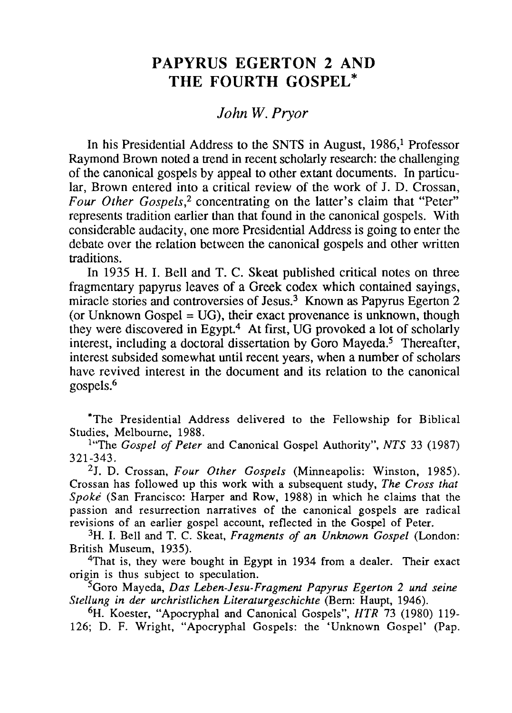# **PAPYRUS EGERTON 2 AND THE FOURTH GOSPEL \***

## *John W. Pryor*

In his Presidential Address to the SNTS in August, 1986,<sup>1</sup> Professor Raymond Brown noted a trend in recent scholarly research: the challenging of the canonical gospels by appeal to other extant documents. In particular, Brown entered into a critical review of the work of J. D. Crossan, *Four Other Gospels,2* concentrating on the latter's claim that "Peter" represents tradition earlier than that found in the canonical gospels. With considerable audacity, one more Presidential Address is going to enter the debate over the relation between the canonical gospels and other written traditions.

In 1935 H. I. Bell and T. C. Skeat published critical notes on three fragmentary papyrus leaves of a Greek codex which contained sayings, miracle stories and controversies of Jesus.<sup>3</sup> Known as Papyrus Egerton 2 (or Unknown Gospel =  $UG$ ), their exact provenance is unknown, though they were discovered in Egypt.<sup>4</sup> At first, UG provoked a lot of scholarly interest, including a doctoral dissertation by Goro Mayeda.<sup>5</sup> Thereafter, interest subsided somewhat until recent years, when a number of scholars have revived interest in the document and its relation to the canonical gospels.6

\*The Presidential Address delivered to the Fellowship for Biblical Studies, Melbourne, 1988.

l"The *Gospel of Peter* and Canonical Gospel Authority", *NTS* 33 (1987) 321-343.

2J. D. Crossan, *Four Other Gospels* (Minneapolis: Winston, 1985). Crossan has followed up this work with a subsequent study, *The Cross that Spoke* (San Francisco: Harper and Row, 1988) in which he claims that the passion and resurrection narratives of the canonical gospels are radical revisions of an earlier gospel account, reflected in the Gospel of Peter.

3H. 1. Bell and T. C. Skeat, *Fragments of an Unknown Gospel* (London: British Museum, 1935).

<sup>4</sup>That is, they were bought in Egypt in 1934 from a dealer. Their exact origin is thus subject to speculation.

5Goro Mayeda, *Das Leben-lesu-Fragment Papyrus Egerton* 2 *und seine Stellung in der urchristlichen Literaturgeschichte* (Bern: Haupt, 1946).

6H. Koester, "Apocryphal and Canonical Gospels", *HTR* 73 (1980) 119- 126; D. F. Wright, "Apocryphal Gospels: the 'Unknown Gospel' (Pap.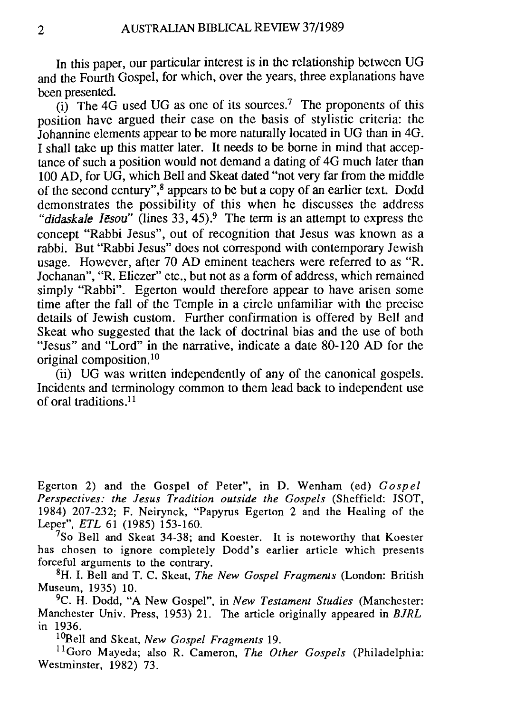In this paper, our particular interest is in the relationship between VG and the Fourth Gospel, for which, over the years, three explanations have been presented.

 $(i)$  The 4G used UG as one of its sources.<sup>7</sup> The proponents of this position have argued their case on the basis of stylistic criteria: the Johannine elements appear to be more naturally located in VG than in 4G. I shall take up this matter later. It needs to be borne in mind that acceptance of such a position would not demand a dating of 4G much later than 100 AD, for VG, which Bell and Skeat dated "not very far from the middle of the second century", 8 appears to be but a copy of an earlier text. Dodd demonstrates the possibility of this when he discusses the address *"didaskale Iesou"* (lines 33, 45).<sup>9</sup> The term is an attempt to express the concept "Rabbi Jesus", out of recognition that Jesus was known as a rabbi. But "Rabbi Jesus" does not correspond with contemporary Jewish usage. However, after 70 AD eminent teachers were referred to as "R. Jochanan", "R. Eliezer" etc., but not as a form of address, which remained simply "Rabbi". Egerton would therefore appear to have arisen some time after the fall of the Temple in a circle unfamiliar with the precise details of Jewish custom. Further confirmation is offered by Bell and Skeat who suggested that the lack of doctrinal bias and the use of both "Jesus" and "Lord" in the narrative, indicate a date 80-120 AD for the original composition.<sup>10</sup>

(ii) VG was written independently of any of the canonical gospels. Incidents and terminology common to them lead back to independent use of oral traditions.<sup>11</sup>

Egerton 2) and the Gospel of Peter", in D. Wenham (ed) *Gospel Perspectives: the Jesus Tradition outside the Gospels* (Sheffield: JSOT, 1984) 207-232; F. Neirynck, "Papyrus Egerton 2 and the Healing of the Leper", *ETL* 61 (1985) 153-160.

 $7$ So Bell and Skeat 34-38; and Koester. It is noteworthy that Koester has chosen to ignore completely Dodd's earlier article which presents forceful arguments to the contrary.

8H. 1. Bell and T. C. Skeat, *The New Gospel Fragments* (London: British Museum, 1935) 10.

9C. H. Dodd, "A New Gospel", in *New Testament Studies* (Manchester: Manchester Univ. Press, 1953) 21. The article originally appeared in *BJRL*  in 1936.

<sup>10</sup>Bell and Skeat, *New Gospel Fragments* 19.

11 Goro Mayeda; also R. Cameron, *The Other Gospels* (Philadelphia: Westminster, 1982) 73.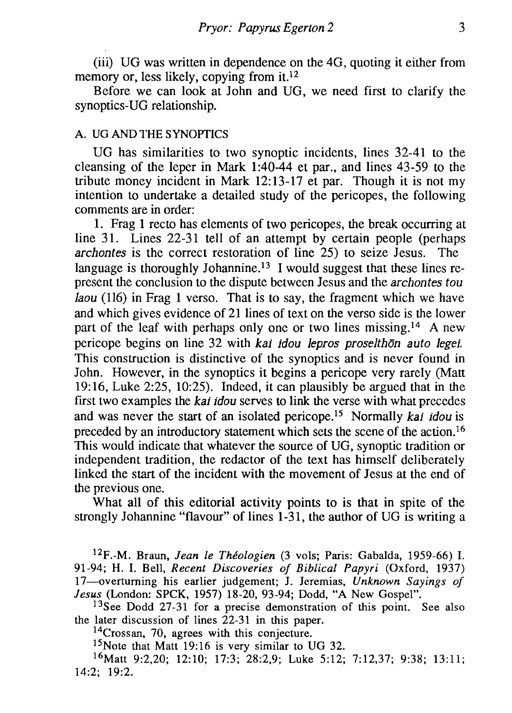(iil) VG was written in dependence on the 4G, quoting it either from memory or, less likely, copying from it.<sup>12</sup>

Before we can look at John and VG, we need first to clarify the synoptics-VG relationship.

### A. *VG* AND THE SYNOPTICS

VG has similarities to two synoptic incidents, lines 32-41 to the cleansing of the leper in Mark 1:40-44 et par., and lines 43-59 to the tribute money incident in Mark 12: 13-17 et par. Though it is not my intention to undertake a detailed study of the pericopes, the following comments are in order:

1. Frag 1 recto has elements of two pericopes, the break occurring at line 31. Lines 22-31 tell of an attempt by certain people (perhaps *archontes* is the correct restoration of line 25) to seize Jesus. The language is thoroughly Johannine.<sup>13</sup> I would suggest that these lines represent the conclusion to the dispute between Jesus and the *archontes tou laou* (116) in Frag 1 verso. That is to say, the fragment which we have and which gives evidence of 21 lines of text on the verso side is the lower part of the leaf with perhaps only one or two lines missing.<sup>14</sup> A new pericope begins on line 32 with *kai idou /epros prose/than auto Jegei.*  This construction is distinctive of the synoptics and is never found in John. However, in the synoptics it begins a pericope very rarely (Matt 19: 16, Luke 2:25, 10:25). Indeed, it can plausibly be argued that in the first two examples the *kai idou* serves to link the verse with what precedes and was never the start of an isolated pericope.15 Normally *kai idou* is preceded by an introductory statement which sets the scene of the action.16 This would indicate that whatever the source of VG, synoptic tradition or independent tradition, the redactor of the text has himself deliberately linked the start of the incident with the movement of Jesus at the end of the previous one.

What all of this editorial activity points to is that in spite of the strongly Johannine "flavour" of lines 1-31, the author of VG is writing a

12F.-M. Braun, *Jean le Theologien* (3 vols; Paris: Gabalda, 1959-66) I. 91-94; H. I. Bell, *Recent Discoveries of Biblical Papyri* (Oxford, 1937) 17-overtuming his earlier judgement; J. Jeremias, *Unknown Sayings of Jesus* (London: SPCK, 1957) 18-20, 93-94; Dodd, "A New Gospel".

<sup>13</sup>See Dodd 27-31 for a precise demonstration of this point. See also the later discussion of lines 22-31 in this paper.

<sup>14</sup>Crossan, 70, agrees with this conjecture.

15Note that Matt 19:16 is very similar to *VG 32.* 

16Matt 9:2,20; 12:10; 17:3; 28:2,9; Luke 5:12; 7:12,37; 9:38; 13:11; 14:2; 19:2.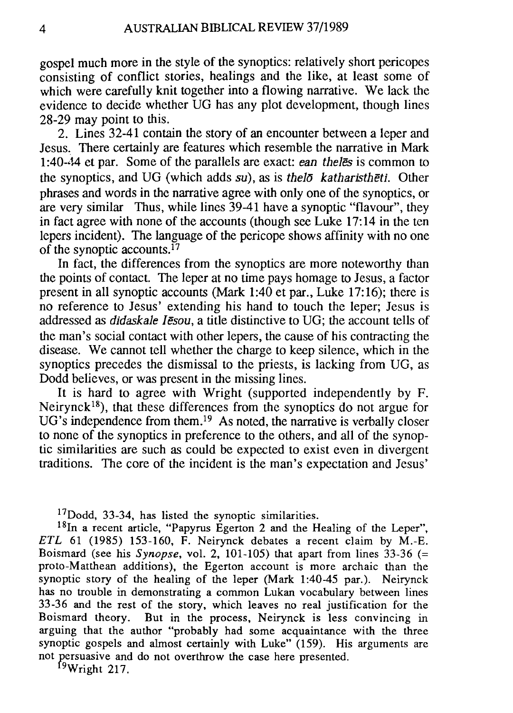gospel much more in the style of the synoptics: relatively short pericopes consisting of conflict stories, healings and the like, at least some of which were carefully knit together into a flowing narrative. We lack the evidence to decide whether *VG* has any plot development, though lines 28-29 may point to this.

2. Lines 32-41 contain the story of an encounter between a leper and Jesus. There certainly are features which resemble the narrative in Mark 1:40-44 et par. Some of the parallels are exact: *ean theles* is common to the synoptics, and *VG* (which adds *su),* as is *thelo katharistheti.* Other phrases and words in the narrative agree with only one of the synoptics, or are very similar Thus, while lines 39-41 have a synoptic "flavour", they in fact agree with none of the accounts (though see Luke 17: 14 in the ten lepers incident). The language of the pericope shows affinity with no one of the synoptic accounts.  $17$ 

In fact, the differences from the synoptics are more noteworthy than the points of contact. The leper at no time pays homage to Jesus, a factor present in all synoptic accounts (Mark 1:40 et par., Luke 17:16); there is no reference to Jesus' extending his hand to touch the leper; Jesus is addressed as *didaskale Iesou,* a title distinctive to *VG;* the account tells of the man's social contact with other lepers, the cause of his contracting the disease. We cannot tell whether the charge to keep silence, which in the synoptics precedes the dismissal to the priests, is lacking from *VG,* as Dodd believes, or was present in the missing lines.

It is hard to agree with Wright (supported independently by F. Neirynck<sup>18</sup>), that these differences from the synoptics do not argue for *VG's* independence from them. 19 As noted, the narrative is verbally closer to none of the synoptics in preference to the others, and all of the synoptic similarities are such as could be expected to exist even in divergent traditions. The core of the incident is the man's expectation and Jesus'

 $17$ Dodd, 33-34, has listed the synoptic similarities.

<sup>18</sup>In a recent article, "Papyrus Egerton 2 and the Healing of the Leper", *ETL* 61 (1985) 153-160, F. Neirynck debates a recent claim by M.-E. Boismard (see his *Synopse,* vol. 2, 101-105) that apart from lines 33-36 (= proto-Matthean additions), the Egerton account is more archaic than the synoptic story of the healing of the leper (Mark 1:40-45 par.). Neirynck has no trouble in demonstrating a common Lukan vocabulary between lines 33-36 and the rest of the story, which leaves no real justification for the Boismard theory. But in the process, Neirynck is less convincing in arguing that the author "probably had some acquaintance with the three synoptic gospels and almost certainly with Luke" (159). His arguments are not persuasive and do not overthrow the case here presented.

 $19$ Wright 217.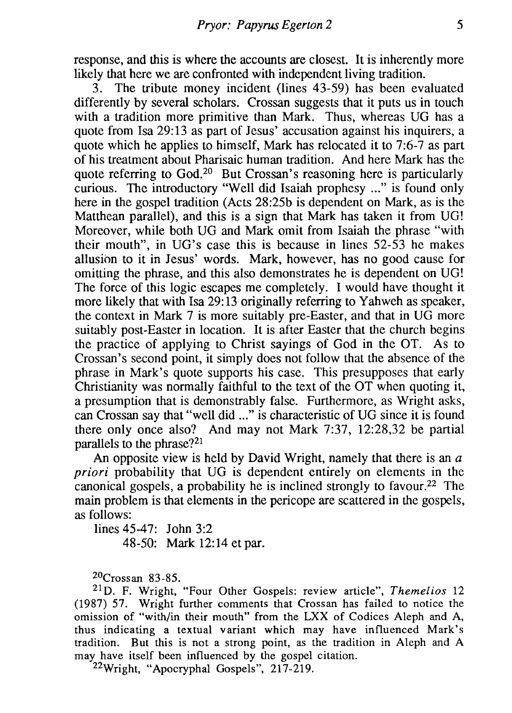response, and this is where the accounts are closest. It is inherently more likely that here we are confronted with independent living tradition.

3. The tribute money incident (lines 43-59) has been evaluated differently by several scholars. Crossan suggests that it puts us in touch with a tradition more primitive than Mark. Thus, whereas *VG* has a quote from Isa 29:13 as part of Jesus' accusation against his inquirers, a quote which he applies to himself, Mark has relocated it to 7:6-7 as part of his treatment about Pharisaic human tradition. And here Mark has the quote referring to God.2o But Crossan's reasoning here is particularly curious. The introductory "Well did Isaiah prophesy ..." is found only here in the gospel tradition (Acts 28:25b is dependent on Mark, as is the Matthean parallel), and this is a sign that Mark has taken it from *VG!*  Moreover, while both *VG* and Mark omit from Isaiah the phrase "with their mouth", in *VG's* case this is because in lines 52-53 he makes allusion to it in Jesus' words. Mark, however, has no good cause for omitting the phrase, and this also demonstrates he is dependent on *VG!*  The force of this logic escapes me completely. I would have thought it more likely that with Isa 29:13 originally referring to Yahweh as speaker, the context in Mark 7 is more suitably pre-Easter, and that in *VG* more suitably post-Easter in location. It is after Easter that the church begins the practice of applying to Christ sayings of God in the OT. As to Crossan's second point, it simply does not follow that the absence of the phrase in Mark's quote supports his case. This presupposes that early Christianity was normally faithful to the text of the OT when quoting it, a presumption that is demonstrably false. Furthermore, as Wright asks, can Crossan say that "well did ... " is characteristic of *VG* since it is found there only once also? And may not Mark 7:37, 12:28,32 be partial parallels to the phrase?21

An opposite view is held by David Wright, namely that there is an  $a$ *priori* probability that UG is dependent entirely on elements in the canonical gospels, a probability he is inclined strongly to favour.<sup>22</sup> The main problem is that elements in the pericope are scattered in the gospels, as follows:

lines 45-47: John 3:2 48-50: Mark 12:14 et par.

 $20C$ rossan 83-85.

21 D. F. Wright, "Four Other Gospels: review article", *Themelios 12*  (1987) 57. Wright further comments that Crossan has failed to notice the omission of "with/in their mouth" from the LXX of Codices Aleph and A, thus indicating a textual variant which may have influenced Mark's tradition. But this is not a strong point, as the tradition in Aleph and A may have itself been influenced by the gospel citation.

22Wright, "Apocryphal Gospels", 217-219.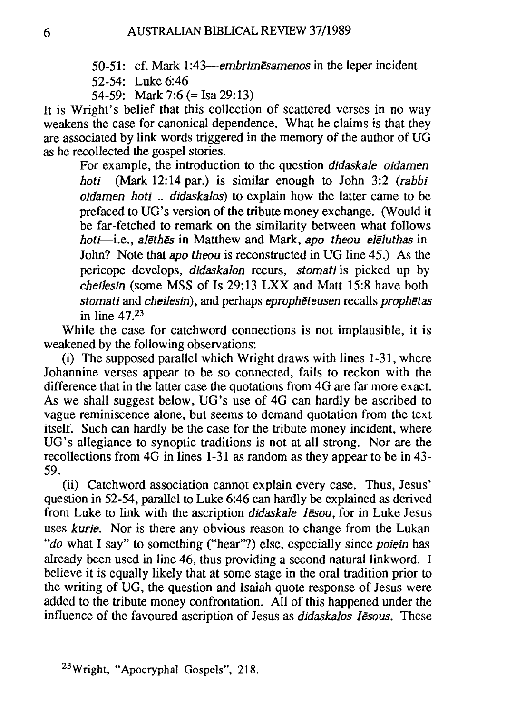- 50-51: cf. Mark *1:43-embrimesamenos* in the leper incident
- 52-54: Luke 6:46
- 54-59: Mark 7:6 (= Isa 29:13)

It is Wright's belief that this collection of scattered verses in no way weakens the case for canonical dependence. What he claims is that they are associated by link words triggered in the memory of the author of *VG*  as he recollected the gospel stories.

For example, the introduction to the question *didaskale oidamen hoti* (Mark 12: 14 par.) is similar enough to John 3:2 *(rabbi oidamen hoti* .. *didaskalos)* to explain how the latter came to be prefaced to *VG's* version of the tribute money exchange. (Would it be far-fetched to remark on the similarity between what follows *hoti-i.e., alethes* in Matthew and Mark, *apo theou eleluthas* in John? Note that *apo theou* is reconstructed in *VG* line 45.) As the pericope develops, *didaskalon* recurs, *stomati* is picked up by *cheilesin* (some MSS of Is 29:13 LXX and Matt 15:8 have both *stomati* and *cheilesin),* and perhaps *epropheteusen* recalls *prophetas*  in line 47.23

While the case for catchword connections is not implausible, it is weakened by the following observations:

(i) The supposed parallel which Wright draws with lines 1-31, where Johannine verses appear to be so connected, fails to reckon with the difference that in the latter case the quotations from 4G are far more exact. As we shall suggest below, *VG's* use of 4G can hardly be ascribed to vague reminiscence alone, but seems to demand quotation from the text itself. Such can hardly be the case for the tribute money incident, where *VG's* allegiance to synoptic traditions is not at all strong. Nor are the recollections from 4G in lines 1-31 as random as they appear to be in 43- 59.

(ii) Catchword association cannot explain every case. Thus, Jesus' question in 52-54, parallel to Luke 6:46 can hardly be explained as derived from Luke to link with the ascription *didaskale Iesou,* for in Luke Jesus uses *kurie.* Nor is there any obvious reason to change from the Lukan *"do* what I say" to something ("hear"?) else, especially since *poiein* has already been used in line 46, thus providing a second natural linkword. I believe it is equally likely that at some stage in the oral tradition prior to the writing of *VG,* the question and Isaiah quote response of Jesus were added to the tribute money confrontation. All of this happened under the influence of the favoured ascription of Jesus as *didaskalos Iesous.* These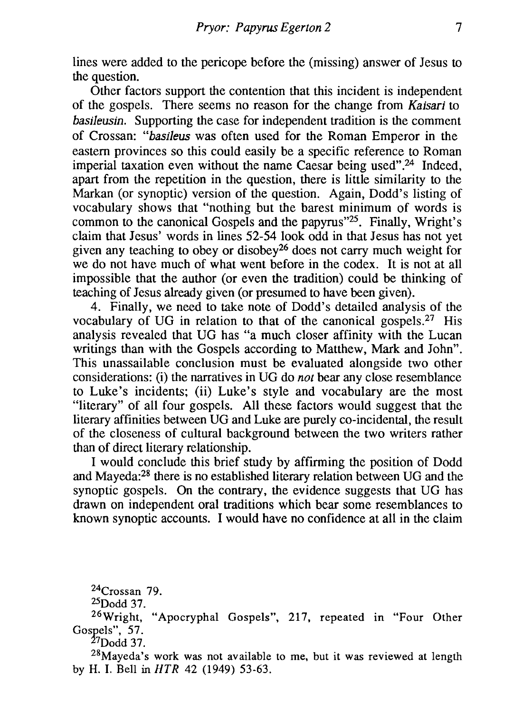lines were added to the pericope before the (missing) answer of Jesus to the question.

Other factors support the contention that this incident is independent of the gospels. There seems no reason for the change from *Kaisari* to *basileusin.* Supporting the case for independent tradition is the comment of Crossan: *"basileus* was often used for the Roman Emperor in the eastern provinces so this could easily be a specific reference to Roman imperial taxation even without the name Caesar being used".24 Indeed, apart from the repetition in the question, there is little similarity to the Markan (or synoptic) version of the question. Again, Dodd's listing of vocabulary shows that "nothing but the barest minimum of words is common to the canonical Gospels and the papyrus"25. Finally, Wright's claim that Jesus' words in lines 52-54 look odd in that Jesus has not yet given any teaching to obey or disobey26 does not carry much weight for we do not have much of what went before in the codex. It is not at all impossible that the author (or even the tradition) could be thinking of teaching of Jesus already given (or presumed to have been given).

4. Finally, we need to take note of Dodd's detailed analysis of the vocabulary of *VG* in relation to that of the canonical gospels.27 His analysis revealed that *VG* has "a much closer affinity with the Lucan writings than with the Gospels according to Matthew, Mark and John". This unassailable conclusion must be evaluated alongside two other considerations: (i) the narratives in *VG* do *not* bear any close resemblance to Luke's incidents; (ii) Luke's style and vocabulary are the most "literary" of all four gospels. All these factors would suggest that the literary affinities between *VG* and Luke are purely co-incidental, the result of the closeness of cultural background between the two writers rather than of direct literary relationship.

I would conclude this brief study by affirming the position of Dodd and Mayeda:28 there is no established literary relation between *VG* and the synoptic gospels. On the contrary, the evidence suggests that *VG* has drawn on independent oral traditions which bear some resemblances to known synoptic accounts. I would have no confidence at all in the claim

24Crossan 79.

25Dodd 37.

26Wright, "Apocryphal Gospels", 217, repeated in "Four Other Gospels", 57.

27Dodd 37.

28Mayeda's work was not available to me, but it was reviewed at length by H. I. Bell in HTR 42 (1949) 53-63.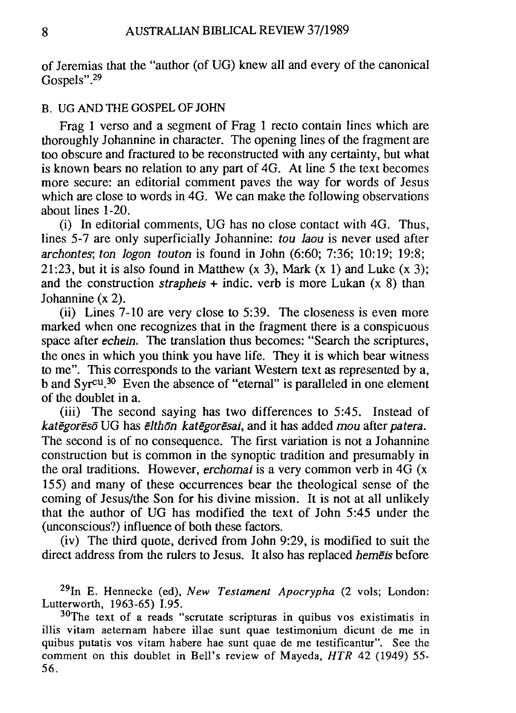of Jeremias that the "author (of *VG)* knew all and every of the canonical Gospels".<sup>29</sup>

#### B. UG AND THE GOSPEL OF JOHN

Frag 1 verso and a segment of Frag 1 recto contain lines which are thoroughly Johannine in character. The opening lines of the fragment are too obscure and fractured to be reconstructed with any certainty, but what is known bears no relation to any part of 4G. At line 5 the text becomes more secure: an editorial comment paves the way for words of Jesus which are close to words in 4G. We can make the following observations about lines 1-20.

(i) In editorial comments, *VG* has no close contact with 4G. Thus, lines 5-7 are only superficially Johannine: *tou laou* is never used after *archontes; ton logon touton* is found in John (6:60; 7:36; 10:19; 19:8; 21:23, but it is also found in Matthew  $(x 3)$ , Mark  $(x 1)$  and Luke  $(x 3)$ ; and the construction *strapheis* + indic. verb is more Lukan (x 8) than Johannine (x 2).

(ii) Lines 7-10 are very close to 5:39. The closeness is even more marked when one recognizes that in the fragment there is a conspicuous space after *echein.* The translation thus becomes: "Search the scriptures, the ones in which you think you have life. They it is which bear witness to me". This corresponds to the variant Western text as represented by a, b and Syr<sup>cu.30</sup> Even the absence of "eternal" is paralleled in one element of the doublet in a.

(iii) The second saying has two differences to 5:45. Instead of *kategoreso VG* has *elthon kategoresai,* and it has added *mou* after *patera.*  The second is of no consequence. The first variation is not a Johannine construction but is common in the synoptic tradition and presumably in the oral traditions. However, *erchomai* is a very common verb in 4G (x 155) and many of these occurrences bear the theological sense of the coming of Jesus/the Son for his divine mission. It is not at all unlikely that the author of *VG* has modified the text of John 5:45 under the (unconscious?) influence of both these factors.

(iv) The third quote, derived from John 9:29, is modified to suit the direct address from the rulers to Jesus. It also has replaced *hemeis* before

29In E. Hennecke (ed), *New Testament Apocrypha* (2 vols; London: Lutterworth, 1963-65) I.95.

30The text of a reads "scrutate scripturas in quibus vos existimatis in illis vitam aetemam habere illae sunt quae testimonium dicunt de me in quibus putatis vos vitam habere hae sunt quae de me testificantur". See the comment on this doublet in Bell's review of Mayeda, *HTR* 42 (1949) 55- 56.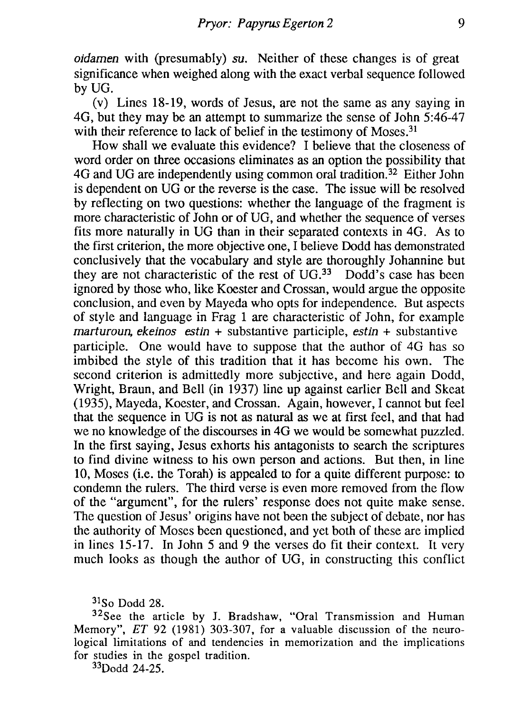*oidamen* with (presumably) *su*. Neither of these changes is of great significance when weighed along with the exact verbal sequence followed by VG.

(v) Lines 18-19, words of Jesus, are not the same as any saying in 4G, but they may be an attempt to summarize the sense of John 5:46-47 with their reference to lack of belief in the testimony of Moses.<sup>31</sup>

How shall we evaluate this evidence? I believe that the closeness of word order on three occasions eliminates as an option the possibility that 4G and VG are independently using common oral tradition.32 Either John is dependent on VG or the reverse is the case. The issue will be resolved by reflecting on two questions: whether the language of the fragment is more characteristic of John or of VG, and whether the sequence of verses fits more naturally in VG than in their separated contexts in 4G. As to the first criterion, the more objective one, I believe Dodd has demonstrated conclusively that the vocabulary and style are thoroughly Johannine but they are not characteristic of the rest of  $UG^{33}$  Dodd's case has been ignored by those who, like Koester and Crossan, would argue the opposite conclusion, and even by Mayeda who opts for independence. But aspects of style and language in Frag 1 are characteristic of John, for example *marruroun, ekeinos estin* + substantive participle, *estin* + substantive participle. One would have to suppose that the author of 4G has so imbibed the style of this tradition that it has become his own. The second criterion is admittedly more subjective, and here again Dodd, Wright, Braun, and Bell (in 1937) line up against earlier Bell and Skeat (1935), Mayeda, Koester, and Crossan. Again, however, I cannot but feel that the sequence in VG is not as natural as we at first feel, and that had we no knowledge of the discourses in 4G we would be somewhat puzzled. In the first saying, Jesus exhorts his antagonists to search the scriptures to find divine witness to his own person and actions. But then, in line 10, Moses (i.e. the Torah) is appealed to for a quite different purpose: to condemn the rulers. The third verse is even more removed from the flow of the "argument", for the rulers' response does not quite make sense. The question of Jesus' origins have not been the subject of debate, nor has the authority of Moses been questioned, and yet both of these are implied in lines 15-17. In John 5 and 9 the verses do fit their context. It very much looks as though the author of VG, in constructing this conflict

 $31$ So Dodd 28.

<sup>32</sup>See the article by J. Bradshaw, "Oral Transmission and Human Memory", *ET* 92 (1981) 303-307, for a valuable discussion of the neurological limitations of and tendencies in memorization and the implications for studies in the gospel tradition.

33Dodd 24-25.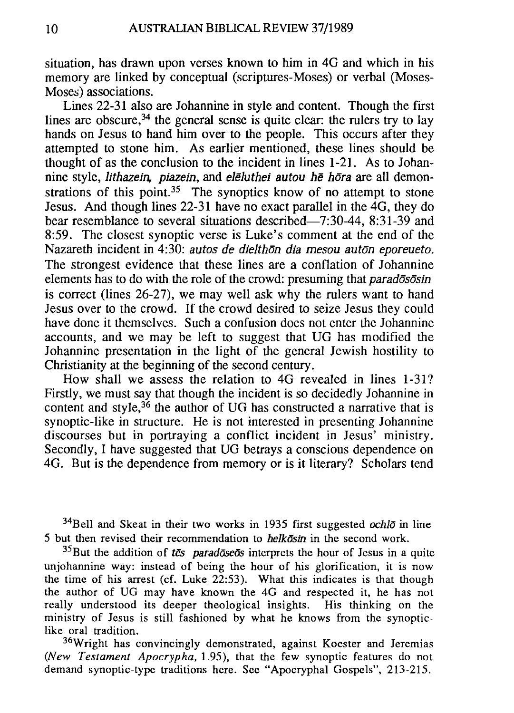situation, has drawn upon verses known to him in 4G and which in his memory are linked by conceptual (scriptures-Moses) or verbal (Moses-Moses) associations.

Lines 22-31 also are Johannine in style and content. Though the first lines are obscure,  $34$  the general sense is quite clear: the rulers try to lay hands on Jesus to hand him over to the people. This occurs after they attempted to stone him. As earlier mentioned, these lines should be thought of as the conclusion to the incident in lines 1-21. As to Johannine style, *lithazein, piazein,* and *eJeJuthei autou he hara* are all demonstrations of this point.<sup>35</sup> The synoptics know of no attempt to stone Jesus. And though lines 22-31 have no exact parallel in the  $\hat{A}$ G, they do bear resemblance to several situations described-7:30-44, 8:31-39 and 8:59. The closest synoptic verse is Luke's comment at the end of the Nazareth incident in 4:30: *autos de dielthon dia mesou auton eporeueto*. The strongest evidence that these lines are a conflation of Johannine elements has to do with the role of the crowd: presuming that *paradososin* is correct (lines 26-27), we may well ask why the rulers want to hand Jesus over to the crowd. If the crowd desired to seize Jesus they could have done it themselves. Such a confusion does not enter the Johannine accounts, and we may be left to suggest that VG has modified the Johannine presentation in the light of the general Jewish hostility to Christianity at the beginning of the second century.

How shall we assess the relation to 4G revealed in lines 1-31? Firstly, we must say that though the incident is so decidedly Johannine in content and style, $36$  the author of UG has constructed a narrative that is synoptic-like in structure. He is not interested in presenting Johannine discourses but in portraying a conflict incident in Jesus' ministry. Secondly, I have suggested that UG betrays a conscious dependence on 4G. But is the dependence from memory or is it literary? Scholars tend

34Bell and Skeat in their two works in 1935 first suggested *ochlo* in line 5 but then revised their recommendation to *helkostn* in the second work.

35But the addition of *tes paradoseos* interprets the hour of Jesus in a quite unjohannine way: instead of being the hour of his glorification, it is now the time of his arrest (cf. Luke 22:53). What this indicates is that though the author of UG may have known the 4G and respected it, he has not really understood its deeper theological insights. His thinking on the ministry of Jesus is still fashioned by what he knows from the synopticlike oral tradition.

36Wright has convincingly demonstrated, against Koester and Jeremias *(New Testament Apocrypha,* 1.95), that the few synoptic features do not demand synoptic-type traditions here. See "Apocryphal Gospels", 213-215.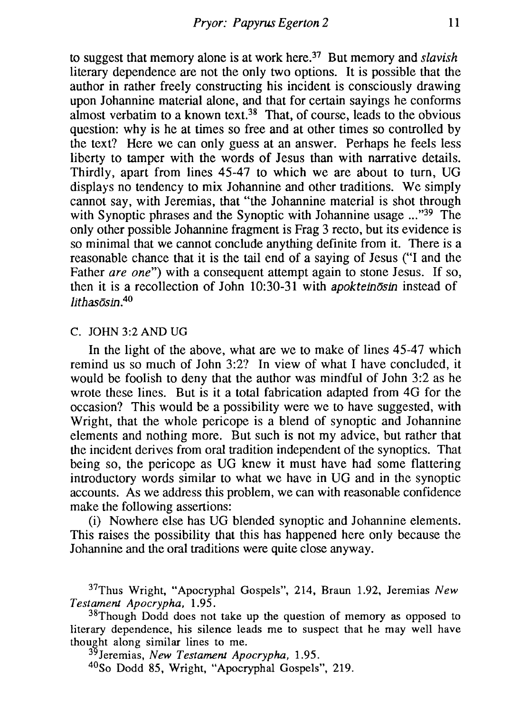to suggest that memory alone is at work here.37 But memory and *slavish*  literary dependence are not the only two options. It is possible that the author in rather freely constructing his incident is consciously drawing upon Johannine material alone, and that for certain sayings he conforms almost verbatim to a known text.<sup>38</sup> That, of course, leads to the obvious question: why is he at times so free and at other times so controlled by the text? Here we can only guess at an answer. Perhaps he feels less liberty to tamper with the words of Jesus than with narrative details. Thirdly, apart from lines 45-47 to which we are about to turn, VG displays no tendency to mix Johannine and other traditions. We simply cannot say, with Jeremias, that "the Johannine material is shot through with Synoptic phrases and the Synoptic with Johannine usage ..."<sup>39</sup> The only other possible Johannine fragment is Frag 3 recto, but its evidence is so minimal that we cannot conclude anything definite from it. There is a reasonable chance that it is the tail end of a saying of Jesus ("I and the Father *are one*") with a consequent attempt again to stone Jesus. If so, then it is a recollection of John 10:30-31 with *apokteinosin* instead of *lithasosin.<sup>40</sup>*

#### C. JOHN 3:2 AND UG

In the light of the above, what are we to make of lines 45-47 which remind us so much of John 3:2? In view of what I have concluded, it would be foolish to deny that the author was mindful of John 3:2 as he wrote these lines. But is it a total fabrication adapted from 4G for the occasion? This would be a possibility were we to have suggested, with Wright, that the whole pericope is a blend of synoptic and Johannine elements and nothing more. But such is not my advice, but rather that the incident derives from oral tradition independent of the synoptics. That being so, the pericope as VG knew it must have had some flattering introductory words similar to what we have in VG and in the synoptic accounts. As we address this problem, we can with reasonable confidence make the following assertions:

(i) Nowhere else has VG blended synoptic and Johannine elements. This raises the possibility that this has happened here only because the Johannine and the oral traditions were quite close anyway.

37Thus Wright, "Apocryphal Gospels", 214, Braun 1.92, Jeremias *New Testament Apocrypha. 1.95.* 

<sup>38</sup>Though Dodd does not take up the question of memory as opposed to literary dependence, his silence leads me to suspect that he may well have thought along similar lines to me.

3 Jeremias, *New Testament Apocrypha. 1.95.* 

40So Dodd 85, Wright, "Apocryphal Gospels", 219.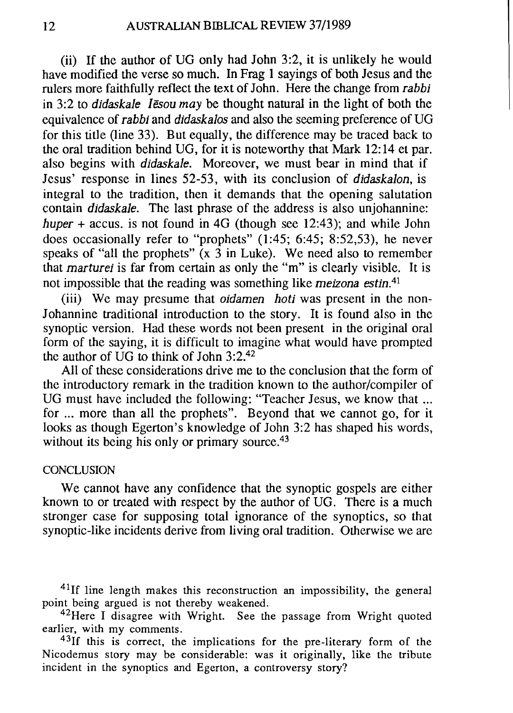(ii) If the author of *VG* only had John 3:2, it is unlikely he would have modified the verse so much. In Frag I sayings of both Jesus and the rulers more faithfully reflect the text of John. Here the change from *rabbi*  in 3:2 to *didaskale Iesou may* be thought natural in the light of both the equivalence of *rabbi* and *didaskalos* and also the seeming preference of *VG*  for this title (line 33). But equally, the difference may be traced back to the oral tradition behind *VG,* for it is noteworthy that Mark 12:14 et par. also begins with *didaskale.* Moreover, we must bear in mind that if Jesus' response in lines 52-53, with its conclusion of *didaskalon,* is integral to the tradition, then it demands that the opening salutation contain *didaskale.* The last phrase of the address is also unjohannine: *huper* + accus. is not found in 4G (though see 12:43); and while John does occasionally refer to "prophets" (1:45; 6:45; 8:52,53), he never speaks of "all the prophets"  $(x, 3)$  in Luke). We need also to remember that *marturei* is far from certain as only the "m" is clearly visible. It is not impossible that the reading was something like *meizona estin.41* 

(iii) We may presume that *oidamen hoti* was present in the non-Johannine traditional introduction to the story. It is found also in the synoptic version. Had these words not been present in the original oral form of the saying, it is difficult to imagine what would have prompted the author of *VG* to think of John 3:2.<sup>42</sup>

All of these considerations drive me to the conclusion that the form of the introductory remark in the tradition known to the author/compiler of *VG* must have included the following: "Teacher Jesus, we know that ... for ... more than all the prophets". Beyond that we cannot go, for it looks as though Egerton's knowledge of John 3:2 has shaped his words, without its being his only or primary source.<sup>43</sup>

### CONCLUSION

We cannot have any confidence that the synoptic gospels are either known to or treated with respect by the author of *VG.* There is a much stronger case for supposing total ignorance of the synoptics, so that synoptic-like incidents derive from living oral tradition. Otherwise we are

<sup>41</sup>If line length makes this reconstruction an impossibility, the general point being argued is not thereby weakened.

<sup>42</sup>Here I disagree with Wright. See the passage from Wright quoted earlier, with my comments.

<sup>43</sup>If this is correct, the implications for the pre-literary form of the Nicodemus story may be considerable: was it originally, like the tribute incident in the synoptics and Egerton, a controversy story?